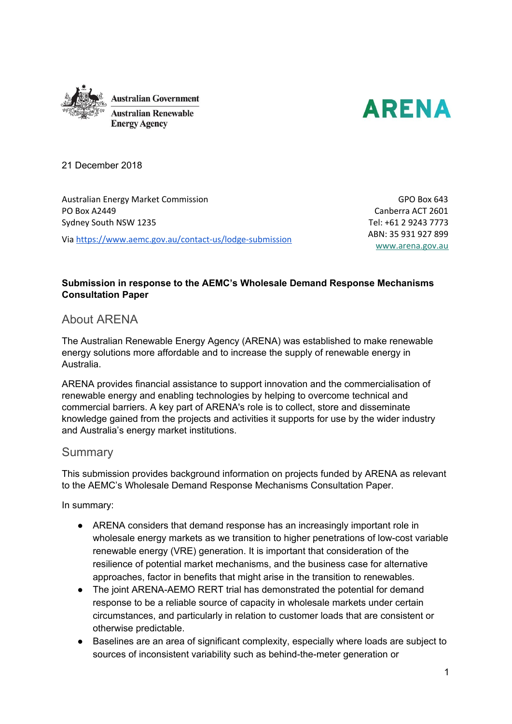



21 December 2018

Australian Energy Market Commission PO Box A2449 Sydney South NSW 1235

Via <https://www.aemc.gov.au/contact-us/lodge-submission>

GPO Box 643 Canberra ACT 2601 Tel: +61 2 9243 7773 ABN: 35 931 927 899 [www.arena.gov.au](http://www.arena.gov.au/)

## **Submission in response to the AEMC's Wholesale Demand Response Mechanisms Consultation Paper**

## About ARENA

The Australian Renewable Energy Agency (ARENA) was established to make renewable energy solutions more affordable and to increase the supply of renewable energy in Australia.

ARENA provides financial assistance to support innovation and the commercialisation of renewable energy and enabling technologies by helping to overcome technical and commercial barriers. A key part of ARENA's role is to collect, store and disseminate knowledge gained from the projects and activities it supports for use by the wider industry and Australia's energy market institutions.

# Summary

This submission provides background information on projects funded by ARENA as relevant to the AEMC's Wholesale Demand Response Mechanisms Consultation Paper.

In summary:

- ARENA considers that demand response has an increasingly important role in wholesale energy markets as we transition to higher penetrations of low-cost variable renewable energy (VRE) generation. It is important that consideration of the resilience of potential market mechanisms, and the business case for alternative approaches, factor in benefits that might arise in the transition to renewables.
- The joint ARENA-AEMO RERT trial has demonstrated the potential for demand response to be a reliable source of capacity in wholesale markets under certain circumstances, and particularly in relation to customer loads that are consistent or otherwise predictable.
- Baselines are an area of significant complexity, especially where loads are subject to sources of inconsistent variability such as behind-the-meter generation or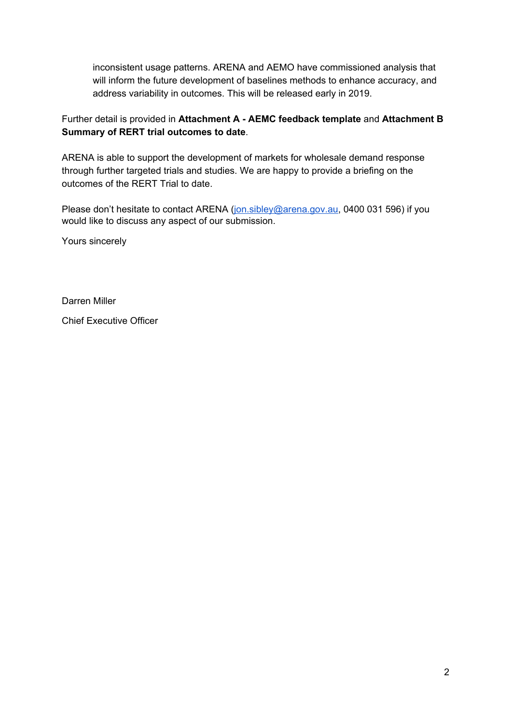inconsistent usage patterns. ARENA and AEMO have commissioned analysis that will inform the future development of baselines methods to enhance accuracy, and address variability in outcomes. This will be released early in 2019.

## Further detail is provided in **Attachment A - AEMC feedback template** and **Attachment B Summary of RERT trial outcomes to date**.

ARENA is able to support the development of markets for wholesale demand response through further targeted trials and studies. We are happy to provide a briefing on the outcomes of the RERT Trial to date.

Please don't hesitate to contact ARENA [\(jon.sibley@arena.gov.au,](mailto:jon.sibley@arena.gov.au) 0400 031 596) if you would like to discuss any aspect of our submission.

Yours sincerely

Darren Miller

Chief Executive Officer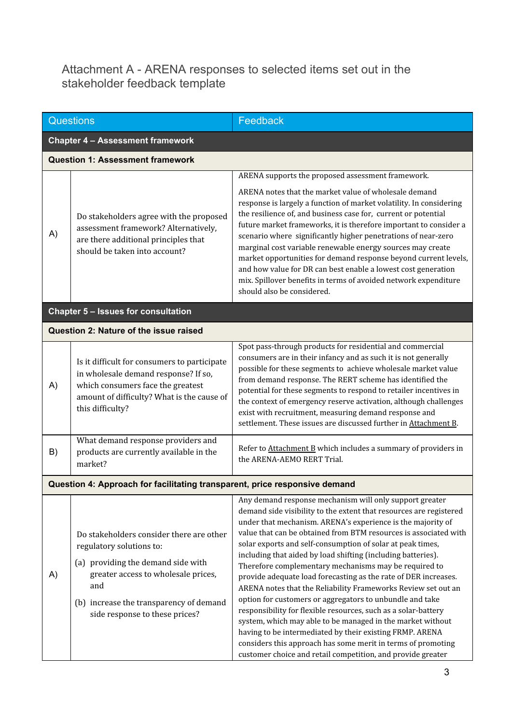# Attachment A - ARENA responses to selected items set out in the stakeholder feedback template

| Questions |                                                                                                                                                                                                                                       | Feedback                                                                                                                                                                                                                                                                                                                                                                                                                                                                                                                                                                                                                                                                                                                                                                                                                                                                                                                                                                           |  |  |  |  |  |
|-----------|---------------------------------------------------------------------------------------------------------------------------------------------------------------------------------------------------------------------------------------|------------------------------------------------------------------------------------------------------------------------------------------------------------------------------------------------------------------------------------------------------------------------------------------------------------------------------------------------------------------------------------------------------------------------------------------------------------------------------------------------------------------------------------------------------------------------------------------------------------------------------------------------------------------------------------------------------------------------------------------------------------------------------------------------------------------------------------------------------------------------------------------------------------------------------------------------------------------------------------|--|--|--|--|--|
|           | <b>Chapter 4 - Assessment framework</b>                                                                                                                                                                                               |                                                                                                                                                                                                                                                                                                                                                                                                                                                                                                                                                                                                                                                                                                                                                                                                                                                                                                                                                                                    |  |  |  |  |  |
|           | <b>Question 1: Assessment framework</b>                                                                                                                                                                                               |                                                                                                                                                                                                                                                                                                                                                                                                                                                                                                                                                                                                                                                                                                                                                                                                                                                                                                                                                                                    |  |  |  |  |  |
|           |                                                                                                                                                                                                                                       | ARENA supports the proposed assessment framework.                                                                                                                                                                                                                                                                                                                                                                                                                                                                                                                                                                                                                                                                                                                                                                                                                                                                                                                                  |  |  |  |  |  |
| A)        | Do stakeholders agree with the proposed<br>assessment framework? Alternatively,<br>are there additional principles that<br>should be taken into account?                                                                              | ARENA notes that the market value of wholesale demand<br>response is largely a function of market volatility. In considering<br>the resilience of, and business case for, current or potential<br>future market frameworks, it is therefore important to consider a<br>scenario where significantly higher penetrations of near-zero<br>marginal cost variable renewable energy sources may create<br>market opportunities for demand response beyond current levels,<br>and how value for DR can best enable a lowest cost generation<br>mix. Spillover benefits in terms of avoided network expenditure<br>should also be considered.                                                                                                                                                                                                                                                                                                                                            |  |  |  |  |  |
|           | Chapter 5 - Issues for consultation                                                                                                                                                                                                   |                                                                                                                                                                                                                                                                                                                                                                                                                                                                                                                                                                                                                                                                                                                                                                                                                                                                                                                                                                                    |  |  |  |  |  |
|           | Question 2: Nature of the issue raised                                                                                                                                                                                                |                                                                                                                                                                                                                                                                                                                                                                                                                                                                                                                                                                                                                                                                                                                                                                                                                                                                                                                                                                                    |  |  |  |  |  |
| A)        | Is it difficult for consumers to participate<br>in wholesale demand response? If so,<br>which consumers face the greatest<br>amount of difficulty? What is the cause of<br>this difficulty?                                           | Spot pass-through products for residential and commercial<br>consumers are in their infancy and as such it is not generally<br>possible for these segments to achieve wholesale market value<br>from demand response. The RERT scheme has identified the<br>potential for these segments to respond to retailer incentives in<br>the context of emergency reserve activation, although challenges<br>exist with recruitment, measuring demand response and<br>settlement. These issues are discussed further in Attachment B.                                                                                                                                                                                                                                                                                                                                                                                                                                                      |  |  |  |  |  |
| B)        | What demand response providers and<br>products are currently available in the<br>market?                                                                                                                                              | Refer to Attachment B which includes a summary of providers in<br>the ARENA-AEMO RERT Trial.                                                                                                                                                                                                                                                                                                                                                                                                                                                                                                                                                                                                                                                                                                                                                                                                                                                                                       |  |  |  |  |  |
|           | Question 4: Approach for facilitating transparent, price responsive demand                                                                                                                                                            |                                                                                                                                                                                                                                                                                                                                                                                                                                                                                                                                                                                                                                                                                                                                                                                                                                                                                                                                                                                    |  |  |  |  |  |
| A)        | Do stakeholders consider there are other<br>regulatory solutions to:<br>(a) providing the demand side with<br>greater access to wholesale prices,<br>and<br>(b) increase the transparency of demand<br>side response to these prices? | Any demand response mechanism will only support greater<br>demand side visibility to the extent that resources are registered<br>under that mechanism. ARENA's experience is the majority of<br>value that can be obtained from BTM resources is associated with<br>solar exports and self-consumption of solar at peak times,<br>including that aided by load shifting (including batteries).<br>Therefore complementary mechanisms may be required to<br>provide adequate load forecasting as the rate of DER increases.<br>ARENA notes that the Reliability Frameworks Review set out an<br>option for customers or aggregators to unbundle and take<br>responsibility for flexible resources, such as a solar-battery<br>system, which may able to be managed in the market without<br>having to be intermediated by their existing FRMP. ARENA<br>considers this approach has some merit in terms of promoting<br>customer choice and retail competition, and provide greater |  |  |  |  |  |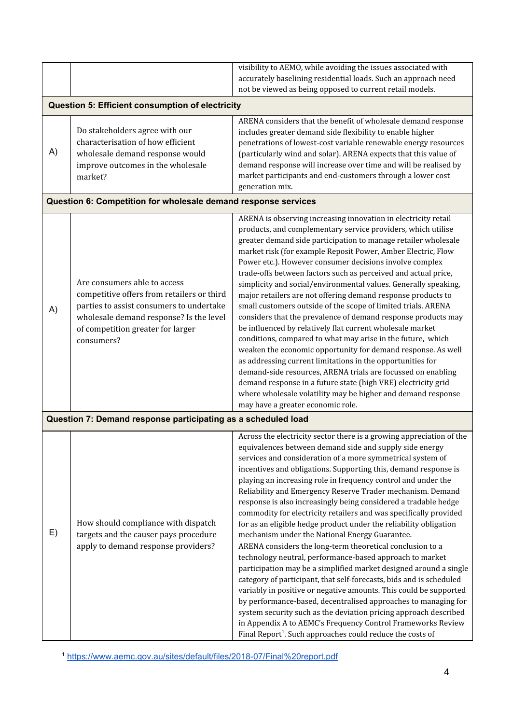|    | visibility to AEMO, while avoiding the issues associated with                                                                                                                                                        |                                                                                                                                                                                                                                                                                                                                                                                                                                                                                                                                                                                                                                                                                                                                                                                                                                                                                                                                                                                                                                                                                                                                                                                                                                                                                        |  |  |  |  |  |
|----|----------------------------------------------------------------------------------------------------------------------------------------------------------------------------------------------------------------------|----------------------------------------------------------------------------------------------------------------------------------------------------------------------------------------------------------------------------------------------------------------------------------------------------------------------------------------------------------------------------------------------------------------------------------------------------------------------------------------------------------------------------------------------------------------------------------------------------------------------------------------------------------------------------------------------------------------------------------------------------------------------------------------------------------------------------------------------------------------------------------------------------------------------------------------------------------------------------------------------------------------------------------------------------------------------------------------------------------------------------------------------------------------------------------------------------------------------------------------------------------------------------------------|--|--|--|--|--|
|    |                                                                                                                                                                                                                      | accurately baselining residential loads. Such an approach need<br>not be viewed as being opposed to current retail models.                                                                                                                                                                                                                                                                                                                                                                                                                                                                                                                                                                                                                                                                                                                                                                                                                                                                                                                                                                                                                                                                                                                                                             |  |  |  |  |  |
|    |                                                                                                                                                                                                                      |                                                                                                                                                                                                                                                                                                                                                                                                                                                                                                                                                                                                                                                                                                                                                                                                                                                                                                                                                                                                                                                                                                                                                                                                                                                                                        |  |  |  |  |  |
|    | Question 5: Efficient consumption of electricity                                                                                                                                                                     |                                                                                                                                                                                                                                                                                                                                                                                                                                                                                                                                                                                                                                                                                                                                                                                                                                                                                                                                                                                                                                                                                                                                                                                                                                                                                        |  |  |  |  |  |
| A) | Do stakeholders agree with our<br>characterisation of how efficient<br>wholesale demand response would<br>improve outcomes in the wholesale<br>market?                                                               | ARENA considers that the benefit of wholesale demand response<br>includes greater demand side flexibility to enable higher<br>penetrations of lowest-cost variable renewable energy resources<br>(particularly wind and solar). ARENA expects that this value of<br>demand response will increase over time and will be realised by<br>market participants and end-customers through a lower cost<br>generation mix.                                                                                                                                                                                                                                                                                                                                                                                                                                                                                                                                                                                                                                                                                                                                                                                                                                                                   |  |  |  |  |  |
|    | Question 6: Competition for wholesale demand response services                                                                                                                                                       |                                                                                                                                                                                                                                                                                                                                                                                                                                                                                                                                                                                                                                                                                                                                                                                                                                                                                                                                                                                                                                                                                                                                                                                                                                                                                        |  |  |  |  |  |
| A) | Are consumers able to access<br>competitive offers from retailers or third<br>parties to assist consumers to undertake<br>wholesale demand response? Is the level<br>of competition greater for larger<br>consumers? | ARENA is observing increasing innovation in electricity retail<br>products, and complementary service providers, which utilise<br>greater demand side participation to manage retailer wholesale<br>market risk (for example Reposit Power, Amber Electric, Flow<br>Power etc.). However consumer decisions involve complex<br>trade-offs between factors such as perceived and actual price,<br>simplicity and social/environmental values. Generally speaking,<br>major retailers are not offering demand response products to<br>small customers outside of the scope of limited trials. ARENA<br>considers that the prevalence of demand response products may<br>be influenced by relatively flat current wholesale market<br>conditions, compared to what may arise in the future, which<br>weaken the economic opportunity for demand response. As well<br>as addressing current limitations in the opportunities for<br>demand-side resources, ARENA trials are focussed on enabling<br>demand response in a future state (high VRE) electricity grid<br>where wholesale volatility may be higher and demand response<br>may have a greater economic role.                                                                                                                     |  |  |  |  |  |
|    | Question 7: Demand response participating as a scheduled load                                                                                                                                                        |                                                                                                                                                                                                                                                                                                                                                                                                                                                                                                                                                                                                                                                                                                                                                                                                                                                                                                                                                                                                                                                                                                                                                                                                                                                                                        |  |  |  |  |  |
| E) | How should compliance with dispatch<br>targets and the causer pays procedure<br>apply to demand response providers?                                                                                                  | Across the electricity sector there is a growing appreciation of the<br>equivalences between demand side and supply side energy<br>services and consideration of a more symmetrical system of<br>incentives and obligations. Supporting this, demand response is<br>playing an increasing role in frequency control and under the<br>Reliability and Emergency Reserve Trader mechanism. Demand<br>response is also increasingly being considered a tradable hedge<br>commodity for electricity retailers and was specifically provided<br>for as an eligible hedge product under the reliability obligation<br>mechanism under the National Energy Guarantee.<br>ARENA considers the long-term theoretical conclusion to a<br>technology neutral, performance-based approach to market<br>participation may be a simplified market designed around a single<br>category of participant, that self-forecasts, bids and is scheduled<br>variably in positive or negative amounts. This could be supported<br>by performance-based, decentralised approaches to managing for<br>system security such as the deviation pricing approach described<br>in Appendix A to AEMC's Frequency Control Frameworks Review<br>Final Report <sup>1</sup> . Such approaches could reduce the costs of |  |  |  |  |  |

<sup>1</sup> <https://www.aemc.gov.au/sites/default/files/2018-07/Final%20report.pdf>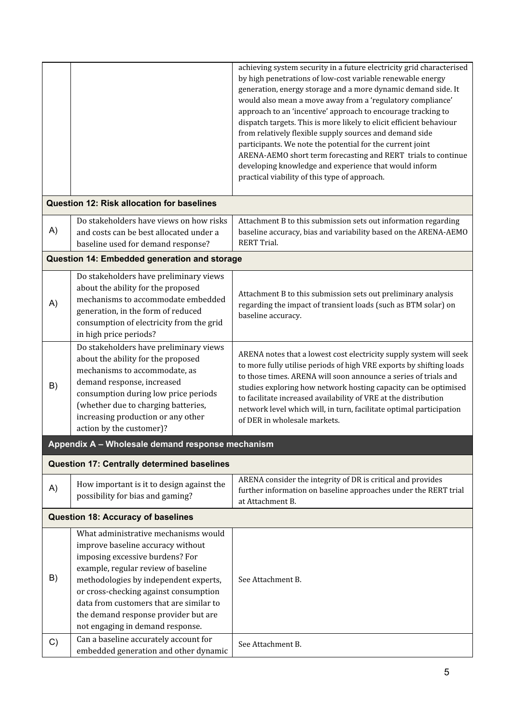|    |                                                                                                                                                                                                                                                                                                                                                                                                       | achieving system security in a future electricity grid characterised<br>by high penetrations of low-cost variable renewable energy<br>generation, energy storage and a more dynamic demand side. It<br>would also mean a move away from a 'regulatory compliance'<br>approach to an 'incentive' approach to encourage tracking to<br>dispatch targets. This is more likely to elicit efficient behaviour<br>from relatively flexible supply sources and demand side<br>participants. We note the potential for the current joint<br>ARENA-AEMO short term forecasting and RERT trials to continue<br>developing knowledge and experience that would inform<br>practical viability of this type of approach. |
|----|-------------------------------------------------------------------------------------------------------------------------------------------------------------------------------------------------------------------------------------------------------------------------------------------------------------------------------------------------------------------------------------------------------|-------------------------------------------------------------------------------------------------------------------------------------------------------------------------------------------------------------------------------------------------------------------------------------------------------------------------------------------------------------------------------------------------------------------------------------------------------------------------------------------------------------------------------------------------------------------------------------------------------------------------------------------------------------------------------------------------------------|
|    | <b>Question 12: Risk allocation for baselines</b>                                                                                                                                                                                                                                                                                                                                                     |                                                                                                                                                                                                                                                                                                                                                                                                                                                                                                                                                                                                                                                                                                             |
| A) | Do stakeholders have views on how risks<br>and costs can be best allocated under a<br>baseline used for demand response?                                                                                                                                                                                                                                                                              | Attachment B to this submission sets out information regarding<br>baseline accuracy, bias and variability based on the ARENA-AEMO<br><b>RERT Trial.</b>                                                                                                                                                                                                                                                                                                                                                                                                                                                                                                                                                     |
|    | Question 14: Embedded generation and storage                                                                                                                                                                                                                                                                                                                                                          |                                                                                                                                                                                                                                                                                                                                                                                                                                                                                                                                                                                                                                                                                                             |
| A) | Do stakeholders have preliminary views<br>about the ability for the proposed<br>mechanisms to accommodate embedded<br>generation, in the form of reduced<br>consumption of electricity from the grid<br>in high price periods?                                                                                                                                                                        | Attachment B to this submission sets out preliminary analysis<br>regarding the impact of transient loads (such as BTM solar) on<br>baseline accuracy.                                                                                                                                                                                                                                                                                                                                                                                                                                                                                                                                                       |
| B) | Do stakeholders have preliminary views<br>about the ability for the proposed<br>mechanisms to accommodate, as<br>demand response, increased<br>consumption during low price periods<br>(whether due to charging batteries,<br>increasing production or any other<br>action by the customer)?                                                                                                          | ARENA notes that a lowest cost electricity supply system will seek<br>to more fully utilise periods of high VRE exports by shifting loads<br>to those times. ARENA will soon announce a series of trials and<br>studies exploring how network hosting capacity can be optimised<br>to facilitate increased availability of VRE at the distribution<br>network level which will, in turn, facilitate optimal participation<br>of DER in wholesale markets.                                                                                                                                                                                                                                                   |
|    | Appendix A - Wholesale demand response mechanism                                                                                                                                                                                                                                                                                                                                                      |                                                                                                                                                                                                                                                                                                                                                                                                                                                                                                                                                                                                                                                                                                             |
|    | Question 17: Centrally determined baselines                                                                                                                                                                                                                                                                                                                                                           |                                                                                                                                                                                                                                                                                                                                                                                                                                                                                                                                                                                                                                                                                                             |
| A) | How important is it to design against the<br>possibility for bias and gaming?                                                                                                                                                                                                                                                                                                                         | ARENA consider the integrity of DR is critical and provides<br>further information on baseline approaches under the RERT trial<br>at Attachment B.                                                                                                                                                                                                                                                                                                                                                                                                                                                                                                                                                          |
|    | <b>Question 18: Accuracy of baselines</b>                                                                                                                                                                                                                                                                                                                                                             |                                                                                                                                                                                                                                                                                                                                                                                                                                                                                                                                                                                                                                                                                                             |
| B) | What administrative mechanisms would<br>improve baseline accuracy without<br>imposing excessive burdens? For<br>example, regular review of baseline<br>methodologies by independent experts,<br>or cross-checking against consumption<br>data from customers that are similar to<br>the demand response provider but are<br>not engaging in demand response.<br>Can a baseline accurately account for | See Attachment B.                                                                                                                                                                                                                                                                                                                                                                                                                                                                                                                                                                                                                                                                                           |
| C) | embedded generation and other dynamic                                                                                                                                                                                                                                                                                                                                                                 | See Attachment B.                                                                                                                                                                                                                                                                                                                                                                                                                                                                                                                                                                                                                                                                                           |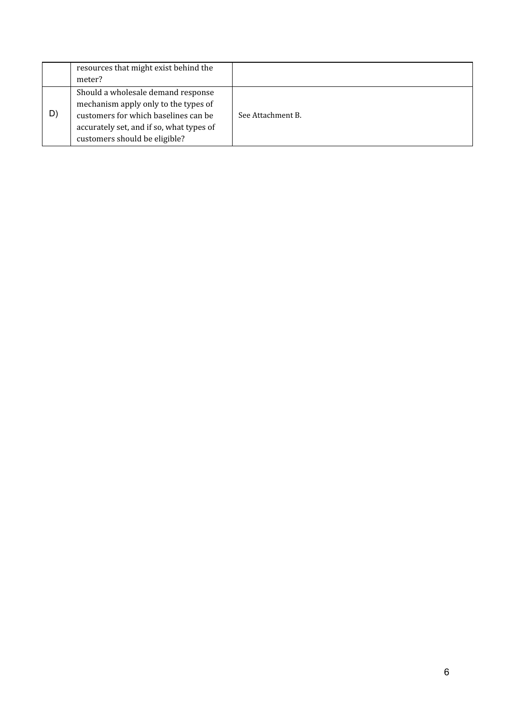| resources that might exist behind the<br>meter?                                                                                                                                                       |                   |
|-------------------------------------------------------------------------------------------------------------------------------------------------------------------------------------------------------|-------------------|
| Should a wholesale demand response<br>mechanism apply only to the types of<br>D)<br>customers for which baselines can be<br>accurately set, and if so, what types of<br>customers should be eligible? | See Attachment B. |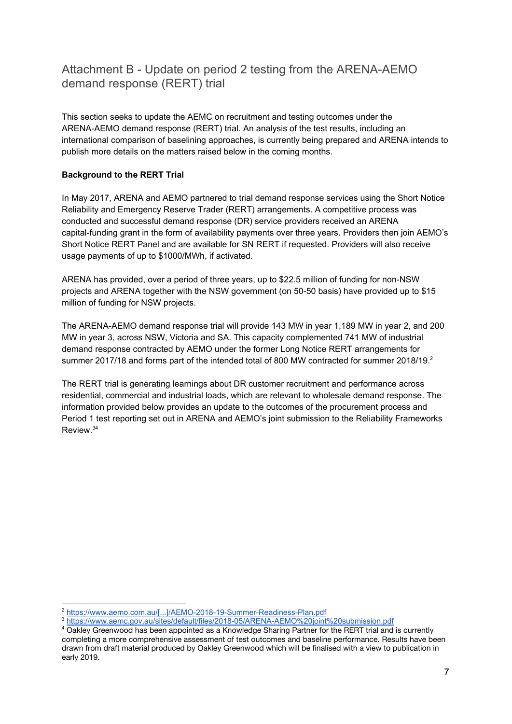# Attachment B - Update on period 2 testing from the ARENA-AEMO demand response (RERT) trial

This section seeks to update the AEMC on recruitment and testing outcomes under the ARENA-AEMO demand response (RERT) trial. An analysis of the test results, including an international comparison of baselining approaches, is currently being prepared and ARENA intends to publish more details on the matters raised below in the coming months.

## **Background to the RERT Trial**

In May 2017, ARENA and AEMO partnered to trial demand response services using the Short Notice Reliability and Emergency Reserve Trader (RERT) arrangements. A competitive process was conducted and successful demand response (DR) service providers received an ARENA capital-funding grant in the form of availability payments over three years. Providers then join AEMO's Short Notice RERT Panel and are available for SN RERT if requested. Providers will also receive usage payments of up to \$1000/MWh, if activated.

ARENA has provided, over a period of three years, up to \$22.5 million of funding for non-NSW projects and ARENA together with the NSW government (on 50-50 basis) have provided up to \$15 million of funding for NSW projects.

The ARENA-AEMO demand response trial will provide 143 MW in year 1,189 MW in year 2, and 200 MW in year 3, across NSW, Victoria and SA. This capacity complemented 741 MW of industrial demand response contracted by AEMO under the former Long Notice RERT arrangements for summer 2017/18 and forms part of the intended total of 800 MW contracted for summer 2018/19.

The RERT trial is generating learnings about DR customer recruitment and performance across residential, commercial and industrial loads, which are relevant to wholesale demand response. The information provided below provides an update to the outcomes of the procurement process and Period 1 test reporting set out in ARENA and AEMO's joint submission to the Reliability Frameworks Review. 34

<sup>2</sup> [https://www.aemo.com.au/\[...\]/AEMO-2018-19-Summer-Readiness-Plan.pdf](https://www.aemo.com.au/-/media/Files/Electricity/NEM/Security_and_Reliability/AEMO-2018-19-Summer-Readiness-Plan.pdf)

<sup>3</sup> <https://www.aemc.gov.au/sites/default/files/2018-05/ARENA-AEMO%20joint%20submission.pdf>

<sup>&</sup>lt;sup>4</sup> Oakley Greenwood has been appointed as a Knowledge Sharing Partner for the RERT trial and is currently completing a more comprehensive assessment of test outcomes and baseline performance. Results have been drawn from draft material produced by Oakley Greenwood which will be finalised with a view to publication in early 2019.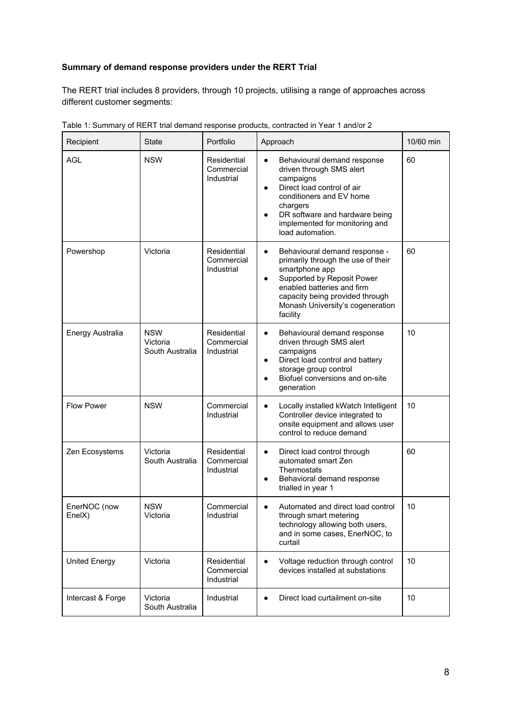# **Summary of demand response providers under the RERT Trial**

The RERT trial includes 8 providers, through 10 projects, utilising a range of approaches across different customer segments:

| Recipient              | <b>State</b>                              | Portfolio                               | Approach                                                                                                                                                                                                                                                       | 10/60 min |
|------------------------|-------------------------------------------|-----------------------------------------|----------------------------------------------------------------------------------------------------------------------------------------------------------------------------------------------------------------------------------------------------------------|-----------|
| <b>AGL</b>             | <b>NSW</b>                                | Residential<br>Commercial<br>Industrial | Behavioural demand response<br>$\bullet$<br>driven through SMS alert<br>campaigns<br>Direct load control of air<br>$\bullet$<br>conditioners and EV home<br>chargers<br>DR software and hardware being<br>implemented for monitoring and<br>load automation.   | 60        |
| Powershop              | Victoria                                  | Residential<br>Commercial<br>Industrial | Behavioural demand response -<br>$\bullet$<br>primarily through the use of their<br>smartphone app<br>Supported by Reposit Power<br>$\bullet$<br>enabled batteries and firm<br>capacity being provided through<br>Monash University's cogeneration<br>facility | 60        |
| Energy Australia       | <b>NSW</b><br>Victoria<br>South Australia | Residential<br>Commercial<br>Industrial | Behavioural demand response<br>$\bullet$<br>driven through SMS alert<br>campaigns<br>Direct load control and battery<br>$\bullet$<br>storage group control<br>Biofuel conversions and on-site<br>generation                                                    | 10        |
| <b>Flow Power</b>      | <b>NSW</b>                                | Commercial<br>Industrial                | Locally installed kWatch Intelligent<br>$\bullet$<br>Controller device integrated to<br>onsite equipment and allows user<br>control to reduce demand                                                                                                           | 10        |
| Zen Ecosystems         | Victoria<br>South Australia               | Residential<br>Commercial<br>Industrial | Direct load control through<br>$\bullet$<br>automated smart Zen<br>Thermostats<br>Behavioral demand response<br>trialled in year 1                                                                                                                             | 60        |
| EnerNOC (now<br>EnelX) | <b>NSW</b><br>Victoria                    | Commercial<br>Industrial                | Automated and direct load control<br>through smart metering<br>technology allowing both users,<br>and in some cases, EnerNOC, to<br>curtail                                                                                                                    | 10        |
| <b>United Energy</b>   | Victoria                                  | Residential<br>Commercial<br>Industrial | Voltage reduction through control<br>devices installed at substations                                                                                                                                                                                          | 10        |
| Intercast & Forge      | Victoria<br>South Australia               | Industrial                              | Direct load curtailment on-site                                                                                                                                                                                                                                | 10        |

| Table 1: Summary of RERT trial demand response products, contracted in Year 1 and/or 2 |  |  |  |
|----------------------------------------------------------------------------------------|--|--|--|
|                                                                                        |  |  |  |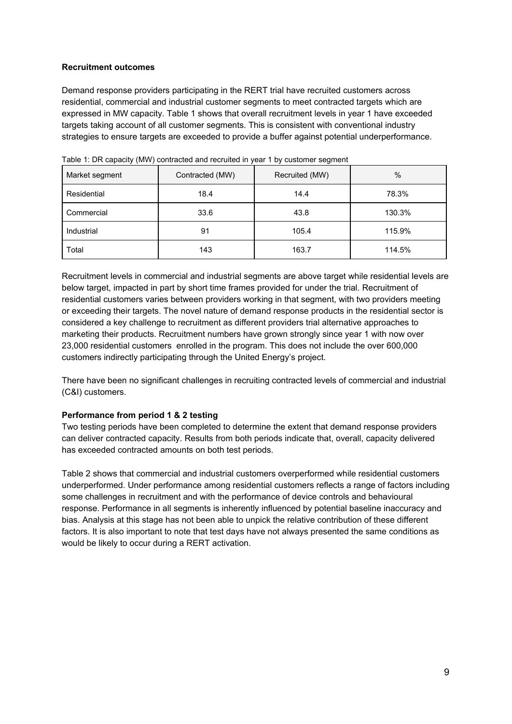## **Recruitment outcomes**

Demand response providers participating in the RERT trial have recruited customers across residential, commercial and industrial customer segments to meet contracted targets which are expressed in MW capacity. Table 1 shows that overall recruitment levels in year 1 have exceeded targets taking account of all customer segments. This is consistent with conventional industry strategies to ensure targets are exceeded to provide a buffer against potential underperformance.

| Market segment | Contracted (MW) | Recruited (MW) | $\%$   |  |
|----------------|-----------------|----------------|--------|--|
| Residential    | 18.4            | 14.4           | 78.3%  |  |
| Commercial     | 33.6            | 43.8           | 130.3% |  |
| Industrial     | 91              | 105.4          | 115.9% |  |
| Total          | 143             | 163.7          | 114.5% |  |

Table 1: DR capacity (MW) contracted and recruited in year 1 by customer segment

Recruitment levels in commercial and industrial segments are above target while residential levels are below target, impacted in part by short time frames provided for under the trial. Recruitment of residential customers varies between providers working in that segment, with two providers meeting or exceeding their targets. The novel nature of demand response products in the residential sector is considered a key challenge to recruitment as different providers trial alternative approaches to marketing their products. Recruitment numbers have grown strongly since year 1 with now over 23,000 residential customers enrolled in the program. This does not include the over 600,000 customers indirectly participating through the United Energy's project.

There have been no significant challenges in recruiting contracted levels of commercial and industrial (C&I) customers.

### **Performance from period 1 & 2 testing**

Two testing periods have been completed to determine the extent that demand response providers can deliver contracted capacity. Results from both periods indicate that, overall, capacity delivered has exceeded contracted amounts on both test periods.

Table 2 shows that commercial and industrial customers overperformed while residential customers underperformed. Under performance among residential customers reflects a range of factors including some challenges in recruitment and with the performance of device controls and behavioural response. Performance in all segments is inherently influenced by potential baseline inaccuracy and bias. Analysis at this stage has not been able to unpick the relative contribution of these different factors. It is also important to note that test days have not always presented the same conditions as would be likely to occur during a RERT activation.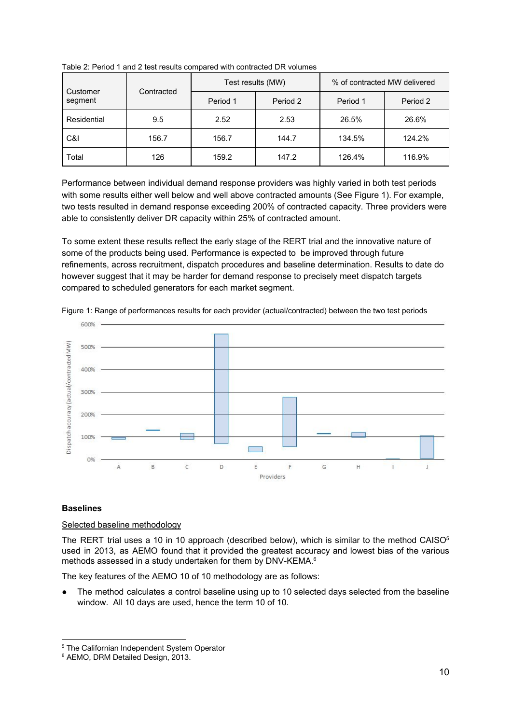| Customer    | Contracted | Test results (MW) |          | % of contracted MW delivered |          |
|-------------|------------|-------------------|----------|------------------------------|----------|
| segment     |            | Period 1          | Period 2 | Period 1                     | Period 2 |
| Residential | 9.5        | 2.52              | 2.53     | 26.5%                        | 26.6%    |
| C&I         | 156.7      | 156.7             | 144.7    | 134.5%                       | 124.2%   |
| Total       | 126        | 159.2             | 147.2    | 126.4%                       | 116.9%   |

Table 2: Period 1 and 2 test results compared with contracted DR volumes

Performance between individual demand response providers was highly varied in both test periods with some results either well below and well above contracted amounts (See Figure 1). For example, two tests resulted in demand response exceeding 200% of contracted capacity. Three providers were able to consistently deliver DR capacity within 25% of contracted amount.

To some extent these results reflect the early stage of the RERT trial and the innovative nature of some of the products being used. Performance is expected to be improved through future refinements, across recruitment, dispatch procedures and baseline determination. Results to date do however suggest that it may be harder for demand response to precisely meet dispatch targets compared to scheduled generators for each market segment.



Figure 1: Range of performances results for each provider (actual/contracted) between the two test periods

### **Baselines**

### Selected baseline methodology

The RERT trial uses a 10 in 10 approach (described below), which is similar to the method CAISO<sup>5</sup> used in 2013, as AEMO found that it provided the greatest accuracy and lowest bias of the various methods assessed in a study undertaken for them by DNV-KEMA.<sup>6</sup>

The key features of the AEMO 10 of 10 methodology are as follows:

The method calculates a control baseline using up to 10 selected days selected from the baseline window. All 10 days are used, hence the term 10 of 10.

<sup>&</sup>lt;sup>5</sup> The Californian Independent System Operator

<sup>6</sup> AEMO, DRM Detailed Design, 2013.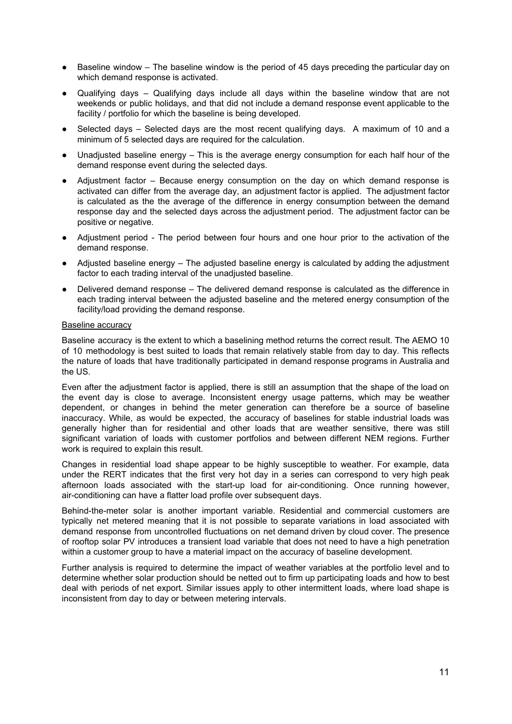- Baseline window The baseline window is the period of 45 days preceding the particular day on which demand response is activated.
- Qualifying days Qualifying days include all days within the baseline window that are not weekends or public holidays, and that did not include a demand response event applicable to the facility / portfolio for which the baseline is being developed.
- Selected days Selected days are the most recent qualifying days. A maximum of 10 and a minimum of 5 selected days are required for the calculation.
- Unadjusted baseline energy This is the average energy consumption for each half hour of the demand response event during the selected days.
- Adjustment factor Because energy consumption on the day on which demand response is activated can differ from the average day, an adjustment factor is applied. The adjustment factor is calculated as the the average of the difference in energy consumption between the demand response day and the selected days across the adjustment period. The adjustment factor can be positive or negative.
- Adjustment period The period between four hours and one hour prior to the activation of the demand response.
- Adjusted baseline energy The adjusted baseline energy is calculated by adding the adjustment factor to each trading interval of the unadjusted baseline.
- Delivered demand response The delivered demand response is calculated as the difference in each trading interval between the adjusted baseline and the metered energy consumption of the facility/load providing the demand response.

#### Baseline accuracy

Baseline accuracy is the extent to which a baselining method returns the correct result. The AEMO 10 of 10 methodology is best suited to loads that remain relatively stable from day to day. This reflects the nature of loads that have traditionally participated in demand response programs in Australia and the US.

Even after the adjustment factor is applied, there is still an assumption that the shape of the load on the event day is close to average. Inconsistent energy usage patterns, which may be weather dependent, or changes in behind the meter generation can therefore be a source of baseline inaccuracy. While, as would be expected, the accuracy of baselines for stable industrial loads was generally higher than for residential and other loads that are weather sensitive, there was still significant variation of loads with customer portfolios and between different NEM regions. Further work is required to explain this result.

Changes in residential load shape appear to be highly susceptible to weather. For example, data under the RERT indicates that the first very hot day in a series can correspond to very high peak afternoon loads associated with the start-up load for air-conditioning. Once running however, air-conditioning can have a flatter load profile over subsequent days.

Behind-the-meter solar is another important variable. Residential and commercial customers are typically net metered meaning that it is not possible to separate variations in load associated with demand response from uncontrolled fluctuations on net demand driven by cloud cover. The presence of rooftop solar PV introduces a transient load variable that does not need to have a high penetration within a customer group to have a material impact on the accuracy of baseline development.

Further analysis is required to determine the impact of weather variables at the portfolio level and to determine whether solar production should be netted out to firm up participating loads and how to best deal with periods of net export. Similar issues apply to other intermittent loads, where load shape is inconsistent from day to day or between metering intervals.